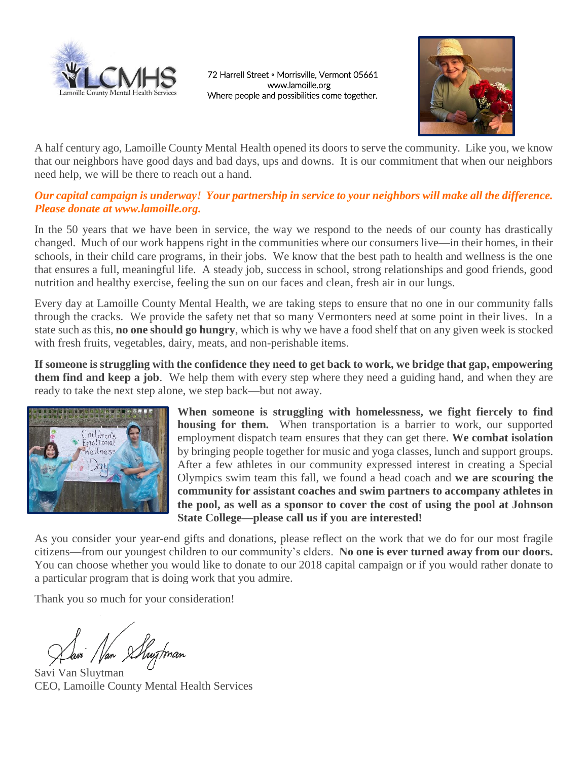

72 Harrell Street ◦ Morrisville, Vermont 05661 www.lamoille.org Where people and possibilities come together.



A half century ago, Lamoille County Mental Health opened its doors to serve the community. Like you, we know that our neighbors have good days and bad days, ups and downs. It is our commitment that when our neighbors need help, we will be there to reach out a hand.

#### *Our capital campaign is underway! Your partnership in service to your neighbors will make all the difference. Please donate at [www.lamoille.org.](http://www.lamoille.org/)*

In the 50 years that we have been in service, the way we respond to the needs of our county has drastically changed. Much of our work happens right in the communities where our consumers live—in their homes, in their schools, in their child care programs, in their jobs. We know that the best path to health and wellness is the one that ensures a full, meaningful life. A steady job, success in school, strong relationships and good friends, good nutrition and healthy exercise, feeling the sun on our faces and clean, fresh air in our lungs.

Every day at Lamoille County Mental Health, we are taking steps to ensure that no one in our community falls through the cracks. We provide the safety net that so many Vermonters need at some point in their lives. In a state such as this, **no one should go hungry**, which is why we have a food shelf that on any given week is stocked with fresh fruits, vegetables, dairy, meats, and non-perishable items.

**If someone is struggling with the confidence they need to get back to work, we bridge that gap, empowering them find and keep a job**. We help them with every step where they need a guiding hand, and when they are ready to take the next step alone, we step back—but not away.



**When someone is struggling with homelessness, we fight fiercely to find housing for them.** When transportation is a barrier to work, our supported employment dispatch team ensures that they can get there. **We combat isolation** by bringing people together for music and yoga classes, lunch and support groups. After a few athletes in our community expressed interest in creating a Special Olympics swim team this fall, we found a head coach and **we are scouring the community for assistant coaches and swim partners to accompany athletes in the pool, as well as a sponsor to cover the cost of using the pool at Johnson State College—please call us if you are interested!**

As you consider your year-end gifts and donations, please reflect on the work that we do for our most fragile citizens—from our youngest children to our community's elders. **No one is ever turned away from our doors.** You can choose whether you would like to donate to our 2018 capital campaign or if you would rather donate to a particular program that is doing work that you admire.

Thank you so much for your consideration!

Mar Shugtman

Savi Van Sluytman CEO, Lamoille County Mental Health Services